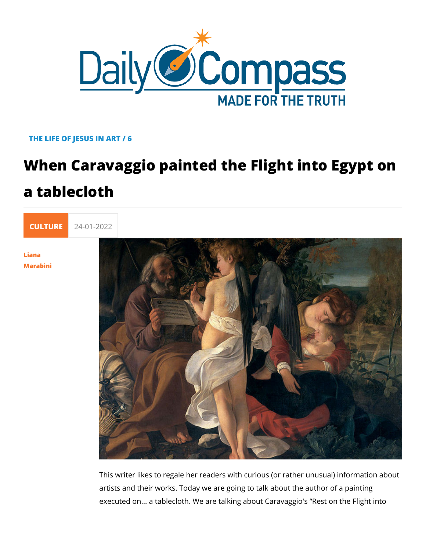### THE LIFE OF JESUS IN ART / 6

# When Caravaggio painted the Flight in a tablecloth



[Lian](/en/liana-marabini)a [Marabi](/en/liana-marabini)ni

> This writer likes to regale her readers with curious (or rather artists and their works. Today we are going to talk about the a executed on... a tablecloth. We are talking about Caravaggio's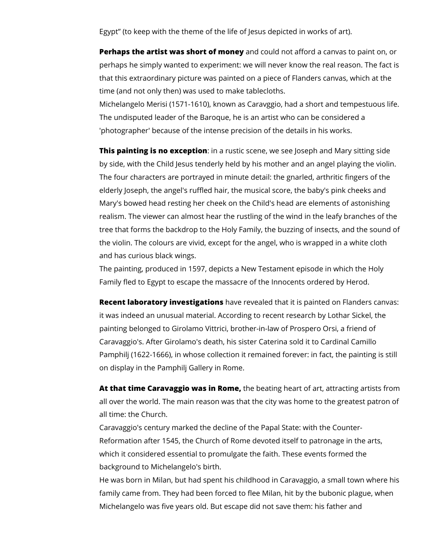Egypt" (to keep with the theme of the life of Jesus depicted in works of art).

**Perhaps the artist was short of money** and could not afford a canvas to paint on, or perhaps he simply wanted to experiment: we will never know the real reason. The fact is that this extraordinary picture was painted on a piece of Flanders canvas, which at the time (and not only then) was used to make tablecloths.

Michelangelo Merisi (1571-1610), known as Caravggio, had a short and tempestuous life. The undisputed leader of the Baroque, he is an artist who can be considered a 'photographer' because of the intense precision of the details in his works.

**This painting is no exception**: in a rustic scene, we see loseph and Mary sitting side by side, with the Child Jesus tenderly held by his mother and an angel playing the violin. The four characters are portrayed in minute detail: the gnarled, arthritic fingers of the elderly Joseph, the angel's ruffled hair, the musical score, the baby's pink cheeks and Mary's bowed head resting her cheek on the Child's head are elements of astonishing realism. The viewer can almost hear the rustling of the wind in the leafy branches of the tree that forms the backdrop to the Holy Family, the buzzing of insects, and the sound of the violin. The colours are vivid, except for the angel, who is wrapped in a white cloth and has curious black wings.

The painting, produced in 1597, depicts a New Testament episode in which the Holy Family fled to Egypt to escape the massacre of the Innocents ordered by Herod.

**Recent laboratory investigations** have revealed that it is painted on Flanders canvas: it was indeed an unusual material. According to recent research by Lothar Sickel, the painting belonged to Girolamo Vittrici, brother-in-law of Prospero Orsi, a friend of Caravaggio's. After Girolamo's death, his sister Caterina sold it to Cardinal Camillo Pamphilj (1622-1666), in whose collection it remained forever: in fact, the painting is still on display in the Pamphilj Gallery in Rome.

**At that time Caravaggio was in Rome,** the beating heart of art, attracting artists from all over the world. The main reason was that the city was home to the greatest patron of all time: the Church.

Caravaggio's century marked the decline of the Papal State: with the Counter-Reformation after 1545, the Church of Rome devoted itself to patronage in the arts, which it considered essential to promulgate the faith. These events formed the background to Michelangelo's birth.

He was born in Milan, but had spent his childhood in Caravaggio, a small town where his family came from. They had been forced to flee Milan, hit by the bubonic plague, when Michelangelo was five years old. But escape did not save them: his father and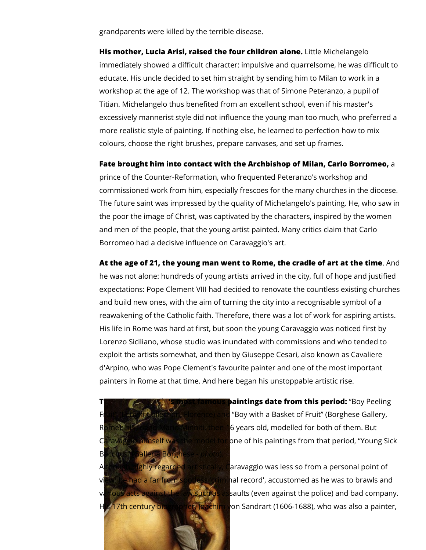grandparents were killed by the terrible disease.

**His mother, Lucia Arisi, raised the four children alone.** Little Michelangelo immediately showed a difficult character: impulsive and quarrelsome, he was difficult to educate. His uncle decided to set him straight by sending him to Milan to work in a workshop at the age of 12. The workshop was that of Simone Peteranzo, a pupil of Titian. Michelangelo thus benefited from an excellent school, even if his master's excessively mannerist style did not influence the young man too much, who preferred a more realistic style of painting. If nothing else, he learned to perfection how to mix colours, choose the right brushes, prepare canvases, and set up frames.

**Fate brought him into contact with the Archbishop of Milan, Carlo Borromeo,** a

prince of the Counter-Reformation, who frequented Peteranzo's workshop and commissioned work from him, especially frescoes for the many churches in the diocese. The future saint was impressed by the quality of Michelangelo's painting. He, who saw in the poor the image of Christ, was captivated by the characters, inspired by the women and men of the people, that the young artist painted. Many critics claim that Carlo Borromeo had a decisive influence on Caravaggio's art.

**At the age of 21, the young man went to Rome, the cradle of art at the time**. And he was not alone: hundreds of young artists arrived in the city, full of hope and justified expectations: Pope Clement VIII had decided to renovate the countless existing churches and build new ones, with the aim of turning the city into a recognisable symbol of a reawakening of the Catholic faith. Therefore, there was a lot of work for aspiring artists. His life in Rome was hard at first, but soon the young Caravaggio was noticed first by Lorenzo Siciliano, whose studio was inundated with commissions and who tended to exploit the artists somewhat, and then by Giuseppe Cesari, also known as Cavaliere d'Arpino, who was Pope Clement's favourite painter and one of the most important painters in Rome at that time. And here began his unstoppable artistic rise.



**Two caravages is most famous paintings date from this period:** "Boy Peeling Fruit" (Longhi Collection, Florence) and "Boy with a Basket of Fruit" (Borghese Gallery, Rome); his friend Mario Minniti, then 16 years old, modelled for both of them. But Caravaggio himself was the model for one of his paintings from that period, "Young Sick

Although highly regarded artistically, Caravaggio was less so from a personal point of had a far from spotless 'criminal record', accustomed as he was to brawls and various acts against the law such as assaults (even against the police) and bad company. His 17th century biographer, Joachim von Sandrart (1606-1688), who was also a painter,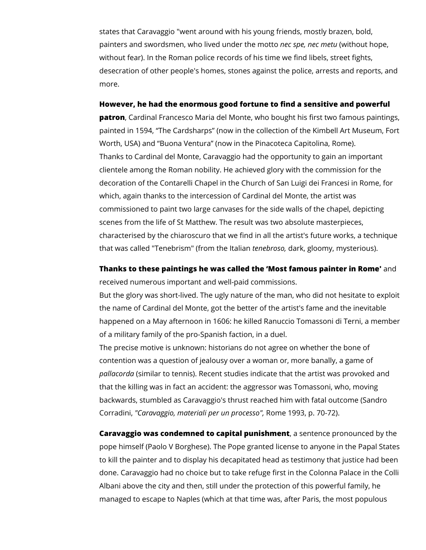states that Caravaggio "went around with his young friends, mostly brazen, bold, painters and swordsmen, who lived under the motto *nec spe, nec metu* (without hope, without fear). In the Roman police records of his time we find libels, street fights, desecration of other people's homes, stones against the police, arrests and reports, and more.

#### **However, he had the enormous good fortune to find a sensitive and powerful**

**patron**, Cardinal Francesco Maria del Monte, who bought his first two famous paintings, painted in 1594, "The Cardsharps" (now in the collection of the Kimbell Art Museum, Fort Worth, USA) and "Buona Ventura" (now in the Pinacoteca Capitolina, Rome). Thanks to Cardinal del Monte, Caravaggio had the opportunity to gain an important clientele among the Roman nobility. He achieved glory with the commission for the decoration of the Contarelli Chapel in the Church of San Luigi dei Francesi in Rome, for which, again thanks to the intercession of Cardinal del Monte, the artist was commissioned to paint two large canvases for the side walls of the chapel, depicting scenes from the life of St Matthew. The result was two absolute masterpieces, characterised by the chiaroscuro that we find in all the artist's future works, a technique that was called "Tenebrism" (from the Italian *tenebroso,* dark, gloomy, mysterious).

**Thanks to these paintings he was called the 'Most famous painter in Rome'** and received numerous important and well-paid commissions.

But the glory was short-lived. The ugly nature of the man, who did not hesitate to exploit the name of Cardinal del Monte, got the better of the artist's fame and the inevitable happened on a May afternoon in 1606: he killed Ranuccio Tomassoni di Terni, a member of a military family of the pro-Spanish faction, in a duel.

The precise motive is unknown: historians do not agree on whether the bone of contention was a question of jealousy over a woman or, more banally, a game of *pallacorda* (similar to tennis). Recent studies indicate that the artist was provoked and that the killing was in fact an accident: the aggressor was Tomassoni, who, moving backwards, stumbled as Caravaggio's thrust reached him with fatal outcome (Sandro Corradini, *"Caravaggio, materiali per un processo",* Rome 1993, p. 70-72).

**Caravaggio was condemned to capital punishment**, a sentence pronounced by the pope himself (Paolo V Borghese). The Pope granted license to anyone in the Papal States to kill the painter and to display his decapitated head as testimony that justice had been done. Caravaggio had no choice but to take refuge first in the Colonna Palace in the Colli Albani above the city and then, still under the protection of this powerful family, he managed to escape to Naples (which at that time was, after Paris, the most populous